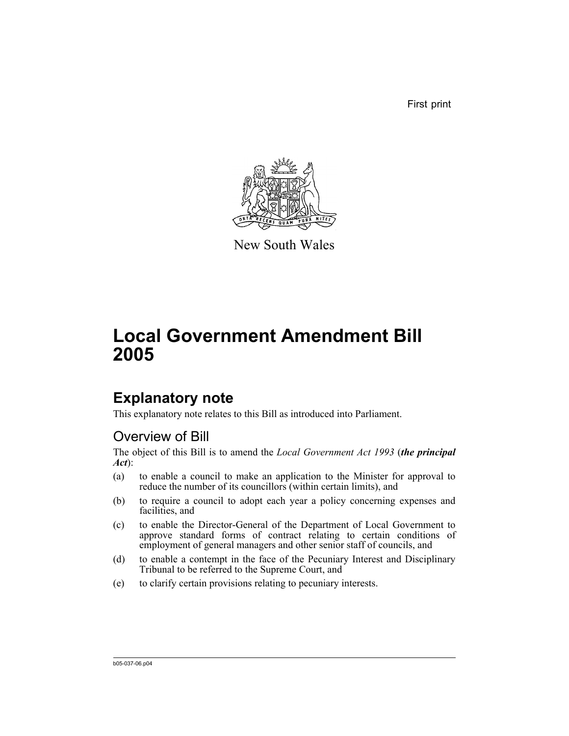First print



New South Wales

# **Local Government Amendment Bill 2005**

# **Explanatory note**

This explanatory note relates to this Bill as introduced into Parliament.

# Overview of Bill

The object of this Bill is to amend the *Local Government Act 1993* (*the principal Act*):

- (a) to enable a council to make an application to the Minister for approval to reduce the number of its councillors (within certain limits), and
- (b) to require a council to adopt each year a policy concerning expenses and facilities, and
- (c) to enable the Director-General of the Department of Local Government to approve standard forms of contract relating to certain conditions of employment of general managers and other senior staff of councils, and
- (d) to enable a contempt in the face of the Pecuniary Interest and Disciplinary Tribunal to be referred to the Supreme Court, and
- (e) to clarify certain provisions relating to pecuniary interests.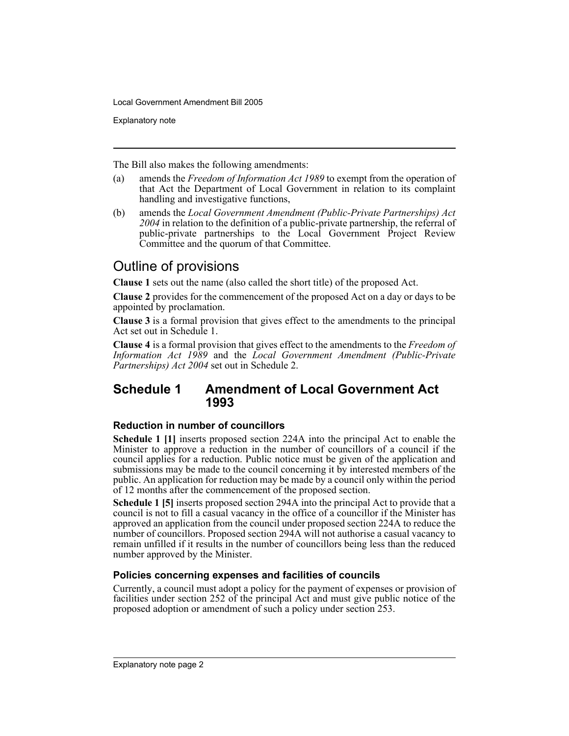Explanatory note

The Bill also makes the following amendments:

- (a) amends the *Freedom of Information Act 1989* to exempt from the operation of that Act the Department of Local Government in relation to its complaint handling and investigative functions,
- (b) amends the *Local Government Amendment (Public-Private Partnerships) Act 2004* in relation to the definition of a public-private partnership, the referral of public-private partnerships to the Local Government Project Review Committee and the quorum of that Committee.

# Outline of provisions

**Clause 1** sets out the name (also called the short title) of the proposed Act.

**Clause 2** provides for the commencement of the proposed Act on a day or days to be appointed by proclamation.

**Clause 3** is a formal provision that gives effect to the amendments to the principal Act set out in Schedule 1.

**Clause 4** is a formal provision that gives effect to the amendments to the *Freedom of Information Act 1989* and the *Local Government Amendment (Public-Private Partnerships) Act 2004* set out in Schedule 2.

## **Schedule 1 Amendment of Local Government Act 1993**

## **Reduction in number of councillors**

**Schedule 1 [1]** inserts proposed section 224A into the principal Act to enable the Minister to approve a reduction in the number of councillors of a council if the council applies for a reduction. Public notice must be given of the application and submissions may be made to the council concerning it by interested members of the public. An application for reduction may be made by a council only within the period of 12 months after the commencement of the proposed section.

**Schedule 1 [5]** inserts proposed section 294A into the principal Act to provide that a council is not to fill a casual vacancy in the office of a councillor if the Minister has approved an application from the council under proposed section 224A to reduce the number of councillors. Proposed section 294A will not authorise a casual vacancy to remain unfilled if it results in the number of councillors being less than the reduced number approved by the Minister.

## **Policies concerning expenses and facilities of councils**

Currently, a council must adopt a policy for the payment of expenses or provision of facilities under section 252 of the principal Act and must give public notice of the proposed adoption or amendment of such a policy under section 253.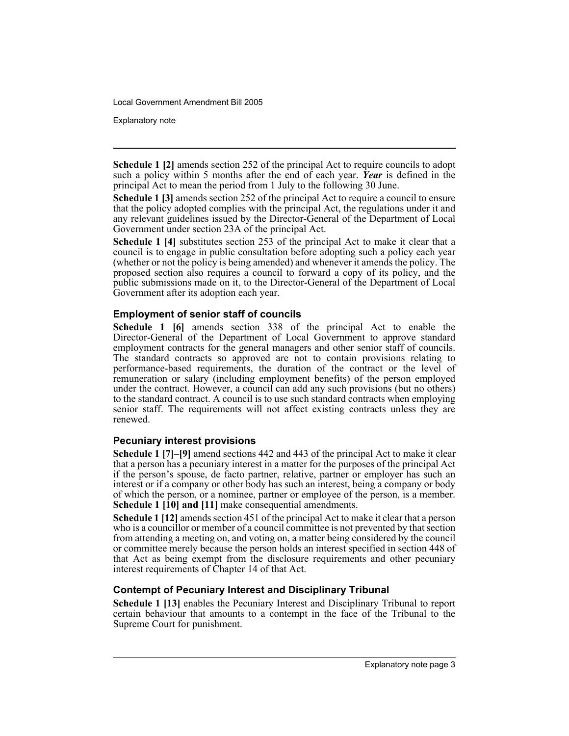Explanatory note

**Schedule 1 [2]** amends section 252 of the principal Act to require councils to adopt such a policy within 5 months after the end of each year. *Year* is defined in the principal Act to mean the period from 1 July to the following 30 June.

**Schedule 1 [3]** amends section 252 of the principal Act to require a council to ensure that the policy adopted complies with the principal Act, the regulations under it and any relevant guidelines issued by the Director-General of the Department of Local Government under section 23A of the principal Act.

**Schedule 1 [4]** substitutes section 253 of the principal Act to make it clear that a council is to engage in public consultation before adopting such a policy each year (whether or not the policy is being amended) and whenever it amends the policy. The proposed section also requires a council to forward a copy of its policy, and the public submissions made on it, to the Director-General of the Department of Local Government after its adoption each year.

## **Employment of senior staff of councils**

**Schedule 1 [6]** amends section 338 of the principal Act to enable the Director-General of the Department of Local Government to approve standard employment contracts for the general managers and other senior staff of councils. The standard contracts so approved are not to contain provisions relating to performance-based requirements, the duration of the contract or the level of remuneration or salary (including employment benefits) of the person employed under the contract. However, a council can add any such provisions (but no others) to the standard contract. A council is to use such standard contracts when employing senior staff. The requirements will not affect existing contracts unless they are renewed.

## **Pecuniary interest provisions**

**Schedule 1 [7]–[9]** amend sections 442 and 443 of the principal Act to make it clear that a person has a pecuniary interest in a matter for the purposes of the principal Act if the person's spouse, de facto partner, relative, partner or employer has such an interest or if a company or other body has such an interest, being a company or body of which the person, or a nominee, partner or employee of the person, is a member. **Schedule 1 [10] and [11]** make consequential amendments.

**Schedule 1 [12]** amends section 451 of the principal Act to make it clear that a person who is a councillor or member of a council committee is not prevented by that section from attending a meeting on, and voting on, a matter being considered by the council or committee merely because the person holds an interest specified in section 448 of that Act as being exempt from the disclosure requirements and other pecuniary interest requirements of Chapter 14 of that Act.

## **Contempt of Pecuniary Interest and Disciplinary Tribunal**

**Schedule 1 [13]** enables the Pecuniary Interest and Disciplinary Tribunal to report certain behaviour that amounts to a contempt in the face of the Tribunal to the Supreme Court for punishment.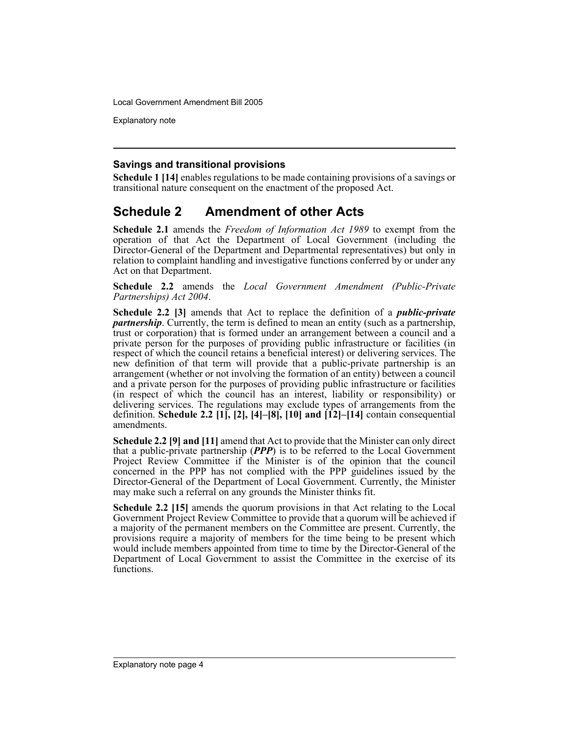Explanatory note

### **Savings and transitional provisions**

**Schedule 1 [14]** enables regulations to be made containing provisions of a savings or transitional nature consequent on the enactment of the proposed Act.

## **Schedule 2 Amendment of other Acts**

**Schedule 2.1** amends the *Freedom of Information Act 1989* to exempt from the operation of that Act the Department of Local Government (including the Director-General of the Department and Departmental representatives) but only in relation to complaint handling and investigative functions conferred by or under any Act on that Department.

**Schedule 2.2** amends the *Local Government Amendment (Public-Private Partnerships) Act 2004*.

**Schedule 2.2 [3]** amends that Act to replace the definition of a *public-private partnership*. Currently, the term is defined to mean an entity (such as a partnership, trust or corporation) that is formed under an arrangement between a council and a private person for the purposes of providing public infrastructure or facilities (in respect of which the council retains a beneficial interest) or delivering services. The new definition of that term will provide that a public-private partnership is an arrangement (whether or not involving the formation of an entity) between a council and a private person for the purposes of providing public infrastructure or facilities (in respect of which the council has an interest, liability or responsibility) or delivering services. The regulations may exclude types of arrangements from the definition. **Schedule 2.2 [1], [2], [4]–[8], [10] and [12]–[14]** contain consequential amendments.

**Schedule 2.2 [9] and [11]** amend that Act to provide that the Minister can only direct that a public-private partnership (*PPP*) is to be referred to the Local Government Project Review Committee if the Minister is of the opinion that the council concerned in the PPP has not complied with the PPP guidelines issued by the Director-General of the Department of Local Government. Currently, the Minister may make such a referral on any grounds the Minister thinks fit.

**Schedule 2.2 [15]** amends the quorum provisions in that Act relating to the Local Government Project Review Committee to provide that a quorum will be achieved if a majority of the permanent members on the Committee are present. Currently, the provisions require a majority of members for the time being to be present which would include members appointed from time to time by the Director-General of the Department of Local Government to assist the Committee in the exercise of its functions.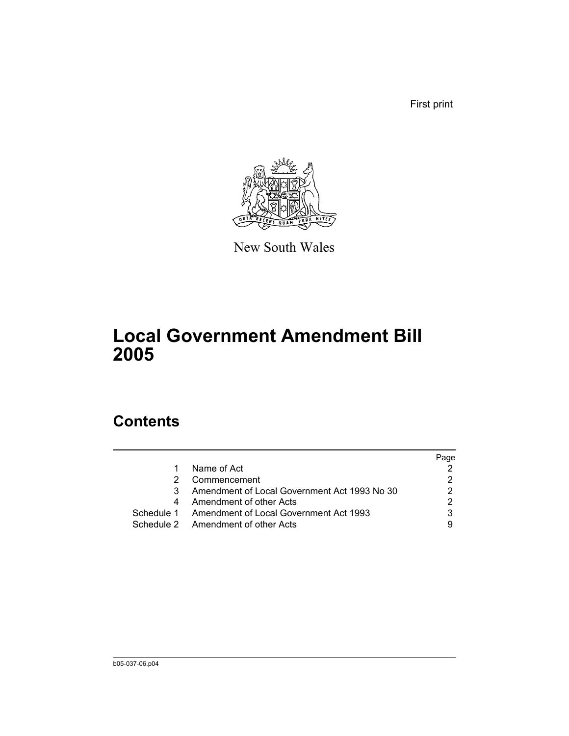First print



New South Wales

# **Local Government Amendment Bill 2005**

# **Contents**

|   |                                                   | Page |
|---|---------------------------------------------------|------|
| 1 | Name of Act                                       |      |
|   | Commencement                                      |      |
|   | Amendment of Local Government Act 1993 No 30      |      |
|   | Amendment of other Acts                           |      |
|   | Schedule 1 Amendment of Local Government Act 1993 | 3    |
|   | Schedule 2 Amendment of other Acts                |      |
|   |                                                   |      |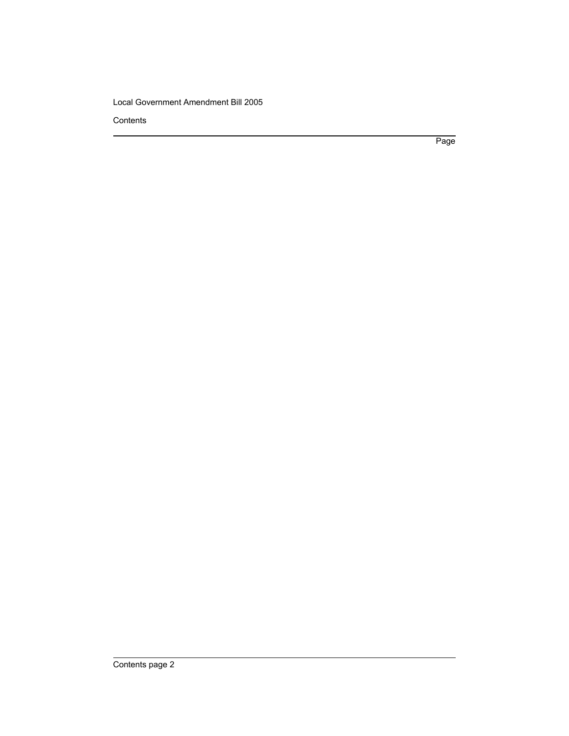**Contents** 

Page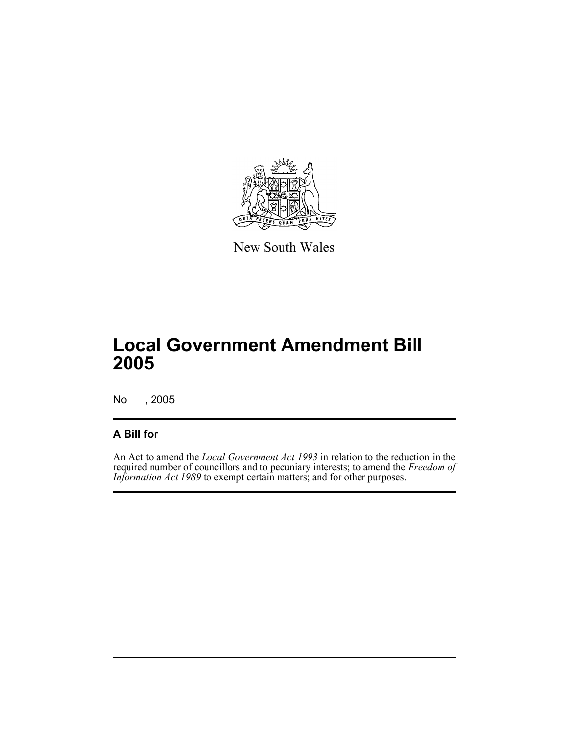

New South Wales

No , 2005

## **A Bill for**

An Act to amend the *Local Government Act 1993* in relation to the reduction in the required number of councillors and to pecuniary interests; to amend the *Freedom of Information Act 1989* to exempt certain matters; and for other purposes.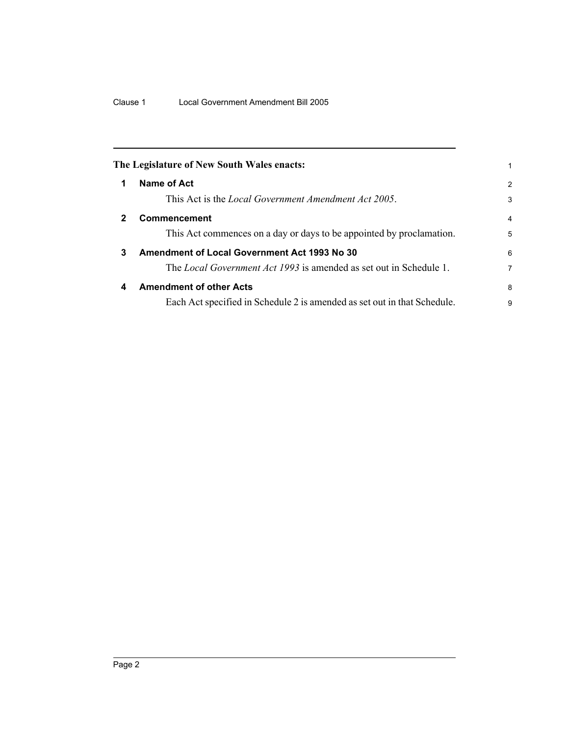<span id="page-7-2"></span><span id="page-7-1"></span><span id="page-7-0"></span>

| The Legislature of New South Wales enacts: |                                                                           |                |
|--------------------------------------------|---------------------------------------------------------------------------|----------------|
| 1                                          | Name of Act                                                               | $\overline{2}$ |
|                                            | This Act is the <i>Local Government Amendment Act 2005</i> .              | 3              |
| $\mathbf{2}$                               | Commencement                                                              | 4              |
|                                            | This Act commences on a day or days to be appointed by proclamation.      | 5              |
| 3                                          | <b>Amendment of Local Government Act 1993 No 30</b>                       | 6              |
|                                            | The <i>Local Government Act 1993</i> is amended as set out in Schedule 1. | 7              |
| 4                                          | <b>Amendment of other Acts</b>                                            | 8              |
|                                            | Each Act specified in Schedule 2 is amended as set out in that Schedule.  | 9              |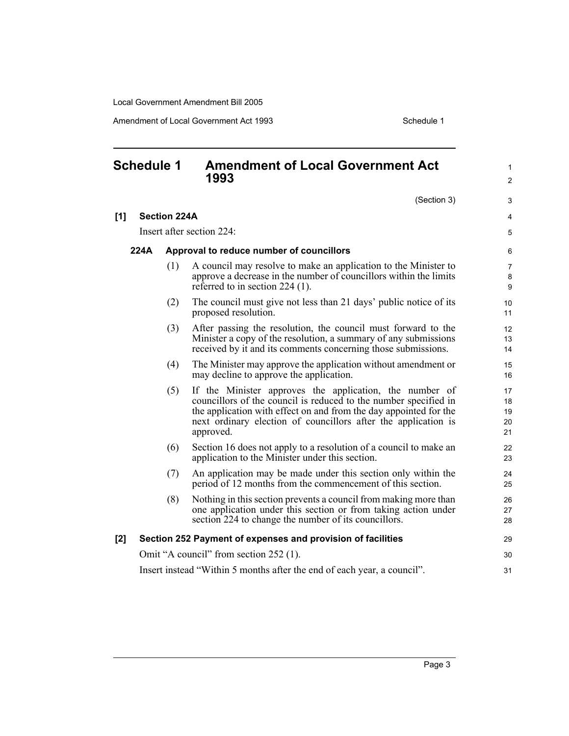Amendment of Local Government Act 1993 Schedule 1

<span id="page-8-0"></span>

| <b>Schedule 1</b> |      |                     | <b>Amendment of Local Government Act</b><br>1993                                                                                                                                                                                                                                | 1<br>$\overline{c}$        |
|-------------------|------|---------------------|---------------------------------------------------------------------------------------------------------------------------------------------------------------------------------------------------------------------------------------------------------------------------------|----------------------------|
|                   |      |                     | (Section 3)                                                                                                                                                                                                                                                                     | 3                          |
| [1]               |      | <b>Section 224A</b> |                                                                                                                                                                                                                                                                                 | 4                          |
|                   |      |                     | Insert after section 224:                                                                                                                                                                                                                                                       | 5                          |
|                   | 224A |                     | Approval to reduce number of councillors                                                                                                                                                                                                                                        | 6                          |
|                   |      | (1)                 | A council may resolve to make an application to the Minister to<br>approve a decrease in the number of councillors within the limits<br>referred to in section 224 (1).                                                                                                         | 7<br>8<br>9                |
|                   |      | (2)                 | The council must give not less than 21 days' public notice of its<br>proposed resolution.                                                                                                                                                                                       | 10<br>11                   |
|                   |      | (3)                 | After passing the resolution, the council must forward to the<br>Minister a copy of the resolution, a summary of any submissions<br>received by it and its comments concerning those submissions.                                                                               | 12<br>13<br>14             |
|                   |      | (4)                 | The Minister may approve the application without amendment or<br>may decline to approve the application.                                                                                                                                                                        | 15<br>16                   |
|                   |      | (5)                 | If the Minister approves the application, the number of<br>councillors of the council is reduced to the number specified in<br>the application with effect on and from the day appointed for the<br>next ordinary election of councillors after the application is<br>approved. | 17<br>18<br>19<br>20<br>21 |
|                   |      | (6)                 | Section 16 does not apply to a resolution of a council to make an<br>application to the Minister under this section.                                                                                                                                                            | 22<br>23                   |
|                   |      | (7)                 | An application may be made under this section only within the<br>period of 12 months from the commencement of this section.                                                                                                                                                     | 24<br>25                   |
|                   |      | (8)                 | Nothing in this section prevents a council from making more than<br>one application under this section or from taking action under<br>section 224 to change the number of its council lors.                                                                                     | 26<br>27<br>28             |
| [2]               |      |                     | Section 252 Payment of expenses and provision of facilities                                                                                                                                                                                                                     | 29                         |
|                   |      |                     | Omit "A council" from section 252 (1).                                                                                                                                                                                                                                          | 30                         |
|                   |      |                     | Insert instead "Within 5 months after the end of each year, a council".                                                                                                                                                                                                         | 31                         |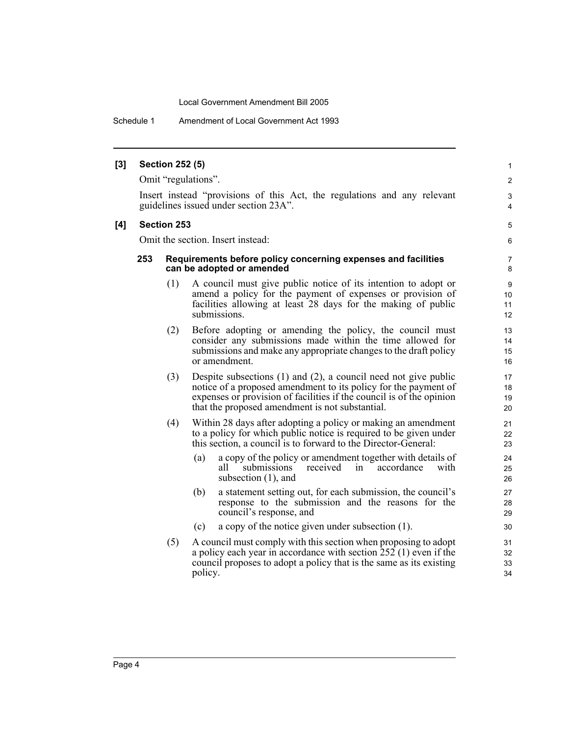Schedule 1 Amendment of Local Government Act 1993

#### **[3] Section 252 (5)**

Omit "regulations".

Insert instead "provisions of this Act, the regulations and any relevant guidelines issued under section 23A".

#### **[4] Section 253**

Omit the section. Insert instead:

#### **253 Requirements before policy concerning expenses and facilities can be adopted or amended**

- (1) A council must give public notice of its intention to adopt or amend a policy for the payment of expenses or provision of facilities allowing at least 28 days for the making of public submissions.
- (2) Before adopting or amending the policy, the council must consider any submissions made within the time allowed for submissions and make any appropriate changes to the draft policy or amendment.
- (3) Despite subsections (1) and (2), a council need not give public notice of a proposed amendment to its policy for the payment of expenses or provision of facilities if the council is of the opinion that the proposed amendment is not substantial.
- (4) Within 28 days after adopting a policy or making an amendment to a policy for which public notice is required to be given under this section, a council is to forward to the Director-General:
	- (a) a copy of the policy or amendment together with details of all submissions received in accordance with subsection (1), and
	- (b) a statement setting out, for each submission, the council's response to the submission and the reasons for the council's response, and
	- (c) a copy of the notice given under subsection (1).
- (5) A council must comply with this section when proposing to adopt a policy each year in accordance with section 252 (1) even if the council proposes to adopt a policy that is the same as its existing policy.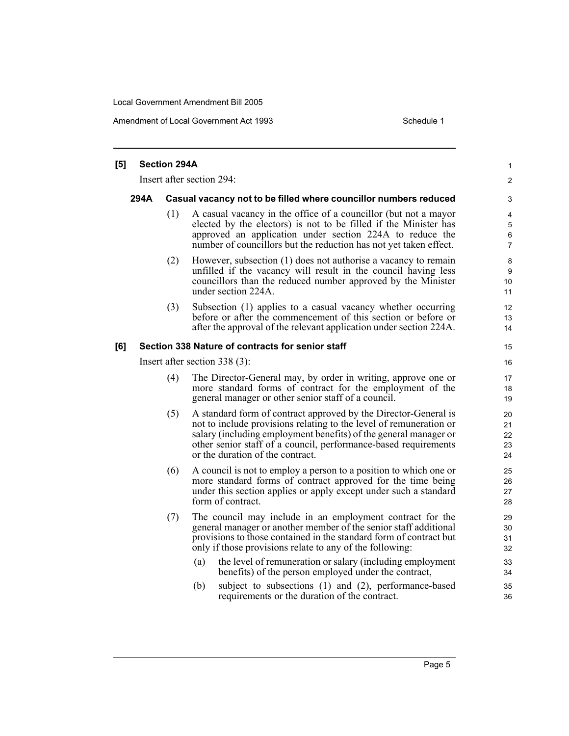| Schedule 1 |  |
|------------|--|
|            |  |

| [5] |                                 | <b>Section 294A</b> |                                                                                                                                                                                                                                                                                                                  | 1                          |  |
|-----|---------------------------------|---------------------|------------------------------------------------------------------------------------------------------------------------------------------------------------------------------------------------------------------------------------------------------------------------------------------------------------------|----------------------------|--|
|     |                                 |                     | Insert after section 294:                                                                                                                                                                                                                                                                                        | $\overline{\mathbf{c}}$    |  |
|     | 294A                            |                     | Casual vacancy not to be filled where councillor numbers reduced                                                                                                                                                                                                                                                 | 3                          |  |
|     |                                 | (1)                 | A casual vacancy in the office of a councillor (but not a mayor<br>elected by the electors) is not to be filled if the Minister has<br>approved an application under section 224A to reduce the<br>number of councillors but the reduction has not yet taken effect.                                             | 4<br>5<br>6<br>7           |  |
|     |                                 | (2)                 | However, subsection (1) does not authorise a vacancy to remain<br>unfilled if the vacancy will result in the council having less<br>councillors than the reduced number approved by the Minister<br>under section 224A.                                                                                          | 8<br>9<br>10<br>11         |  |
|     |                                 | (3)                 | Subsection (1) applies to a casual vacancy whether occurring<br>before or after the commencement of this section or before or<br>after the approval of the relevant application under section 224A.                                                                                                              | 12<br>13<br>14             |  |
| [6] |                                 |                     | Section 338 Nature of contracts for senior staff                                                                                                                                                                                                                                                                 | 15                         |  |
|     | Insert after section $338(3)$ : |                     |                                                                                                                                                                                                                                                                                                                  |                            |  |
|     |                                 | (4)                 | The Director-General may, by order in writing, approve one or<br>more standard forms of contract for the employment of the<br>general manager or other senior staff of a council.                                                                                                                                | 17<br>18<br>19             |  |
|     |                                 | (5)                 | A standard form of contract approved by the Director-General is<br>not to include provisions relating to the level of remuneration or<br>salary (including employment benefits) of the general manager or<br>other senior staff of a council, performance-based requirements<br>or the duration of the contract. | 20<br>21<br>22<br>23<br>24 |  |
|     |                                 | (6)                 | A council is not to employ a person to a position to which one or<br>more standard forms of contract approved for the time being<br>under this section applies or apply except under such a standard<br>form of contract.                                                                                        | 25<br>26<br>27<br>28       |  |
|     |                                 | (7)                 | The council may include in an employment contract for the<br>general manager or another member of the senior staff additional<br>provisions to those contained in the standard form of contract but<br>only if those provisions relate to any of the following:                                                  | 29<br>30<br>31<br>32       |  |
|     |                                 |                     | (a)<br>the level of remuneration or salary (including employment<br>benefits) of the person employed under the contract,                                                                                                                                                                                         | 33<br>34                   |  |
|     |                                 |                     | subject to subsections (1) and (2), performance-based<br>(b)<br>requirements or the duration of the contract.                                                                                                                                                                                                    | 35<br>36                   |  |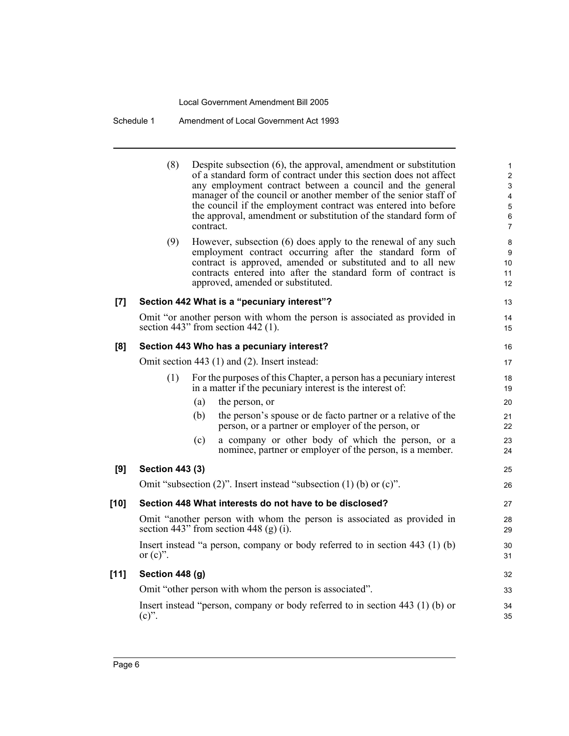Schedule 1 Amendment of Local Government Act 1993

|        | (8)                    | contract. | Despite subsection $(6)$ , the approval, amendment or substitution<br>of a standard form of contract under this section does not affect<br>any employment contract between a council and the general<br>manager of the council or another member of the senior staff of<br>the council if the employment contract was entered into before<br>the approval, amendment or substitution of the standard form of | $\mathbf{1}$<br>$\boldsymbol{2}$<br>3<br>4<br>5<br>6<br>$\overline{7}$ |
|--------|------------------------|-----------|--------------------------------------------------------------------------------------------------------------------------------------------------------------------------------------------------------------------------------------------------------------------------------------------------------------------------------------------------------------------------------------------------------------|------------------------------------------------------------------------|
|        | (9)                    |           | However, subsection (6) does apply to the renewal of any such<br>employment contract occurring after the standard form of<br>contract is approved, amended or substituted and to all new<br>contracts entered into after the standard form of contract is<br>approved, amended or substituted.                                                                                                               | 8<br>9<br>10<br>11<br>12                                               |
| $[7]$  |                        |           | Section 442 What is a "pecuniary interest"?                                                                                                                                                                                                                                                                                                                                                                  | 13                                                                     |
|        |                        |           | Omit "or another person with whom the person is associated as provided in<br>section 443" from section 442 $(1)$ .                                                                                                                                                                                                                                                                                           | 14<br>15                                                               |
| [8]    |                        |           | Section 443 Who has a pecuniary interest?                                                                                                                                                                                                                                                                                                                                                                    | 16                                                                     |
|        |                        |           | Omit section 443 (1) and (2). Insert instead:                                                                                                                                                                                                                                                                                                                                                                | 17                                                                     |
|        | (1)                    |           | For the purposes of this Chapter, a person has a pecuniary interest<br>in a matter if the pecuniary interest is the interest of:                                                                                                                                                                                                                                                                             | 18<br>19                                                               |
|        |                        | (a)       | the person, or                                                                                                                                                                                                                                                                                                                                                                                               | 20                                                                     |
|        |                        | (b)       | the person's spouse or de facto partner or a relative of the<br>person, or a partner or employer of the person, or                                                                                                                                                                                                                                                                                           | 21<br>22                                                               |
|        |                        | (c)       | a company or other body of which the person, or a<br>nominee, partner or employer of the person, is a member.                                                                                                                                                                                                                                                                                                | 23<br>24                                                               |
| [9]    | <b>Section 443 (3)</b> |           |                                                                                                                                                                                                                                                                                                                                                                                                              | 25                                                                     |
|        |                        |           | Omit "subsection $(2)$ ". Insert instead "subsection $(1)$ (b) or $(c)$ ".                                                                                                                                                                                                                                                                                                                                   | 26                                                                     |
| [10]   |                        |           | Section 448 What interests do not have to be disclosed?                                                                                                                                                                                                                                                                                                                                                      | 27                                                                     |
|        |                        |           | Omit "another person with whom the person is associated as provided in<br>section 443" from section 448 (g) (i).                                                                                                                                                                                                                                                                                             | 28<br>29                                                               |
|        | or $(c)$ ".            |           | Insert instead "a person, company or body referred to in section 443 (1) (b)                                                                                                                                                                                                                                                                                                                                 | 30<br>31                                                               |
| $[11]$ | Section 448 (g)        |           |                                                                                                                                                                                                                                                                                                                                                                                                              | 32                                                                     |
|        |                        |           | Omit "other person with whom the person is associated".                                                                                                                                                                                                                                                                                                                                                      | 33                                                                     |
|        | $(c)$ ".               |           | Insert instead "person, company or body referred to in section 443 (1) (b) or                                                                                                                                                                                                                                                                                                                                | 34<br>35                                                               |
|        |                        |           |                                                                                                                                                                                                                                                                                                                                                                                                              |                                                                        |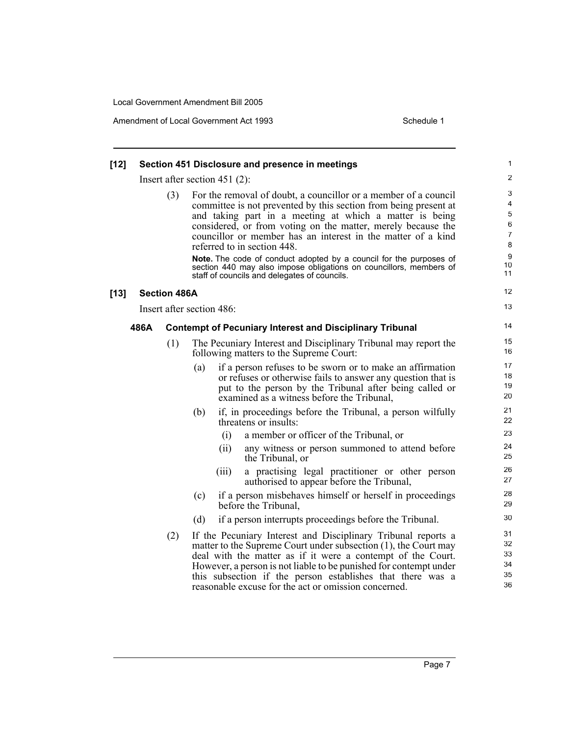| $[12]$ |      |                     |     |                                 | Section 451 Disclosure and presence in meetings                                                                                                                                                                                                                                                                                                                                            | 1                                                        |
|--------|------|---------------------|-----|---------------------------------|--------------------------------------------------------------------------------------------------------------------------------------------------------------------------------------------------------------------------------------------------------------------------------------------------------------------------------------------------------------------------------------------|----------------------------------------------------------|
|        |      |                     |     | Insert after section $451(2)$ : |                                                                                                                                                                                                                                                                                                                                                                                            | 2                                                        |
|        |      | (3)                 |     |                                 | For the removal of doubt, a councillor or a member of a council<br>committee is not prevented by this section from being present at<br>and taking part in a meeting at which a matter is being<br>considered, or from voting on the matter, merely because the<br>councillor or member has an interest in the matter of a kind<br>referred to in section 448.                              | 3<br>4<br>$\mathbf 5$<br>6<br>$\boldsymbol{7}$<br>8<br>9 |
|        |      |                     |     |                                 | Note. The code of conduct adopted by a council for the purposes of<br>section 440 may also impose obligations on councillors, members of<br>staff of councils and delegates of councils.                                                                                                                                                                                                   | 10<br>11                                                 |
| $[13]$ |      | <b>Section 486A</b> |     |                                 |                                                                                                                                                                                                                                                                                                                                                                                            | 12                                                       |
|        |      |                     |     | Insert after section 486:       |                                                                                                                                                                                                                                                                                                                                                                                            | 13                                                       |
|        | 486A |                     |     |                                 | <b>Contempt of Pecuniary Interest and Disciplinary Tribunal</b>                                                                                                                                                                                                                                                                                                                            | 14                                                       |
|        |      | (1)                 |     |                                 | The Pecuniary Interest and Disciplinary Tribunal may report the<br>following matters to the Supreme Court:                                                                                                                                                                                                                                                                                 | 15<br>16                                                 |
|        |      |                     | (a) |                                 | if a person refuses to be sworn or to make an affirmation<br>or refuses or otherwise fails to answer any question that is<br>put to the person by the Tribunal after being called or<br>examined as a witness before the Tribunal,                                                                                                                                                         | 17<br>18<br>19<br>20                                     |
|        |      |                     | (b) |                                 | if, in proceedings before the Tribunal, a person wilfully<br>threatens or insults:                                                                                                                                                                                                                                                                                                         | 21<br>22                                                 |
|        |      |                     |     | (i)                             | a member or officer of the Tribunal, or                                                                                                                                                                                                                                                                                                                                                    | 23                                                       |
|        |      |                     |     | (ii)                            | any witness or person summoned to attend before<br>the Tribunal, or                                                                                                                                                                                                                                                                                                                        | 24<br>25                                                 |
|        |      |                     |     | (iii)                           | a practising legal practitioner or other person<br>authorised to appear before the Tribunal,                                                                                                                                                                                                                                                                                               | 26<br>27                                                 |
|        |      |                     | (c) |                                 | if a person misbehaves himself or herself in proceedings<br>before the Tribunal,                                                                                                                                                                                                                                                                                                           | 28<br>29                                                 |
|        |      |                     | (d) |                                 | if a person interrupts proceedings before the Tribunal.                                                                                                                                                                                                                                                                                                                                    | 30                                                       |
|        |      | (2)                 |     |                                 | If the Pecuniary Interest and Disciplinary Tribunal reports a<br>matter to the Supreme Court under subsection (1), the Court may<br>deal with the matter as if it were a contempt of the Court.<br>However, a person is not liable to be punished for contempt under<br>this subsection if the person establishes that there was a<br>reasonable excuse for the act or omission concerned. | 31<br>32<br>33<br>34<br>35<br>36                         |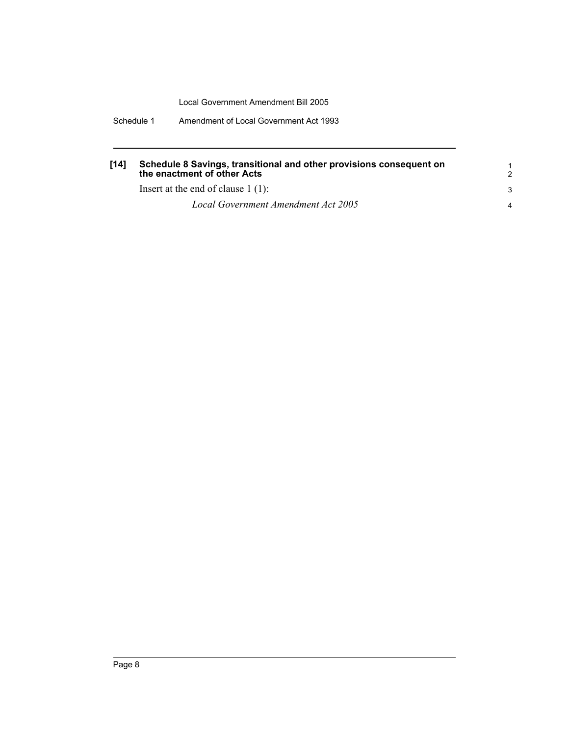Schedule 1 Amendment of Local Government Act 1993

| [14] | Schedule 8 Savings, transitional and other provisions consequent on<br>the enactment of other Acts |  |  |  |
|------|----------------------------------------------------------------------------------------------------|--|--|--|
|      | Insert at the end of clause $1(1)$ :                                                               |  |  |  |
|      | Local Government Amendment Act 2005                                                                |  |  |  |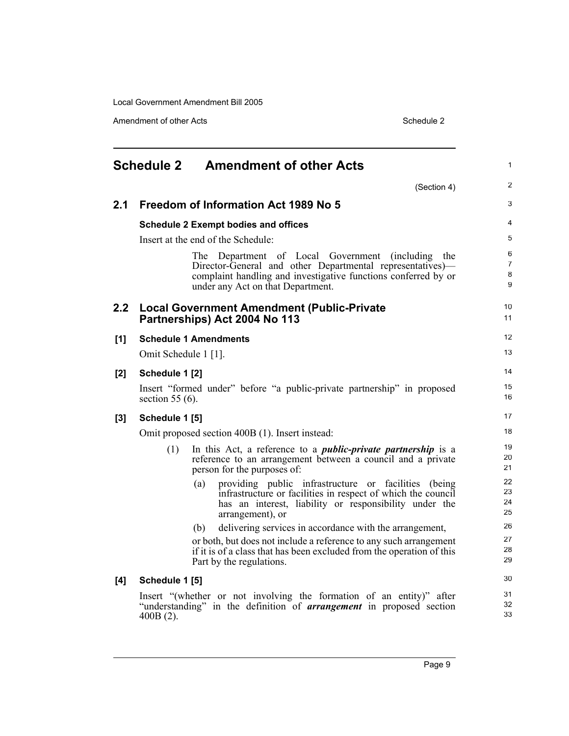Amendment of other Acts Schedule 2

<span id="page-14-0"></span>

|       | <b>Schedule 2 Amendment of other Acts</b>                                                                                                                                                                                    | $\mathbf{1}$                  |
|-------|------------------------------------------------------------------------------------------------------------------------------------------------------------------------------------------------------------------------------|-------------------------------|
|       | (Section 4)                                                                                                                                                                                                                  | $\overline{2}$                |
| 2.1   | Freedom of Information Act 1989 No 5                                                                                                                                                                                         | 3                             |
|       | <b>Schedule 2 Exempt bodies and offices</b>                                                                                                                                                                                  | $\overline{4}$                |
|       | Insert at the end of the Schedule:                                                                                                                                                                                           | 5                             |
|       | The Department of Local Government<br>(including)<br>the<br>Director-General and other Departmental representatives)—<br>complaint handling and investigative functions conferred by or<br>under any Act on that Department. | 6<br>$\overline{7}$<br>8<br>9 |
|       | 2.2 Local Government Amendment (Public-Private<br>Partnerships) Act 2004 No 113                                                                                                                                              | 10<br>11                      |
| $[1]$ | <b>Schedule 1 Amendments</b>                                                                                                                                                                                                 | 12                            |
|       | Omit Schedule 1 [1].                                                                                                                                                                                                         | 13                            |
| $[2]$ | Schedule 1 [2]                                                                                                                                                                                                               | 14                            |
|       | Insert "formed under" before "a public-private partnership" in proposed<br>section 55 $(6)$ .                                                                                                                                | 15<br>16                      |
| $[3]$ | Schedule 1 [5]                                                                                                                                                                                                               | 17                            |
|       | Omit proposed section 400B (1). Insert instead:                                                                                                                                                                              | 18                            |
|       | In this Act, a reference to a <i>public-private partnership</i> is a<br>(1)<br>reference to an arrangement between a council and a private<br>person for the purposes of:                                                    | 19<br>20<br>21                |
|       | providing public infrastructure or facilities (being<br>(a)<br>infrastructure or facilities in respect of which the council<br>has an interest, liability or responsibility under the<br>arrangement), or                    | 22<br>23<br>24<br>25          |
|       | delivering services in accordance with the arrangement,<br>(b)                                                                                                                                                               | 26                            |
|       | or both, but does not include a reference to any such arrangement<br>if it is of a class that has been excluded from the operation of this<br>Part by the regulations.                                                       | 27<br>28<br>29                |
| [4]   | Schedule 1 [5]                                                                                                                                                                                                               | 30                            |
|       | Insert "(whether or not involving the formation of an entity)" after<br>"understanding" in the definition of <i>arrangement</i> in proposed section<br>$400B(2)$ .                                                           | 31<br>32<br>33                |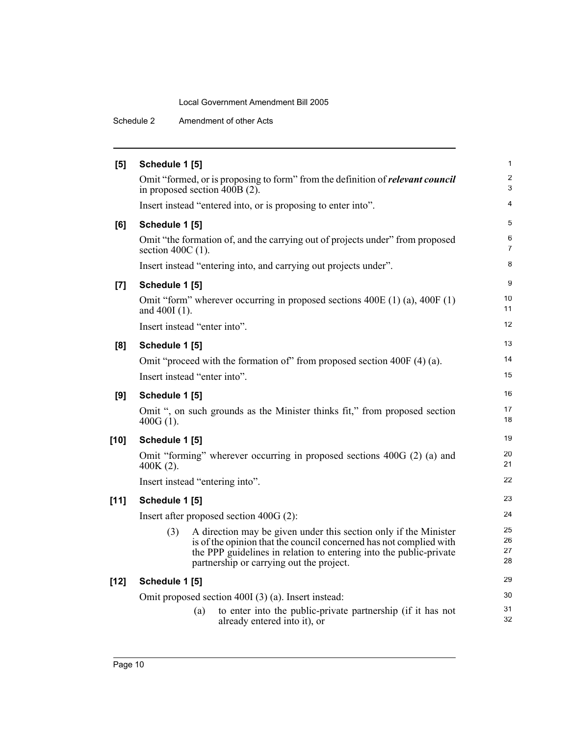Schedule 2 Amendment of other Acts

| Schedule 1 [5]                                                                                                                                                                                                                                                  | $\mathbf{1}$         |
|-----------------------------------------------------------------------------------------------------------------------------------------------------------------------------------------------------------------------------------------------------------------|----------------------|
| Omit "formed, or is proposing to form" from the definition of <i>relevant council</i><br>in proposed section $400B(2)$ .                                                                                                                                        | $\overline{2}$<br>3  |
| Insert instead "entered into, or is proposing to enter into".                                                                                                                                                                                                   | $\overline{4}$       |
| Schedule 1 [5]                                                                                                                                                                                                                                                  | 5                    |
| Omit "the formation of, and the carrying out of projects under" from proposed<br>section $400C(1)$ .                                                                                                                                                            | 6<br>$\overline{7}$  |
| Insert instead "entering into, and carrying out projects under".                                                                                                                                                                                                | 8                    |
| Schedule 1 [5]                                                                                                                                                                                                                                                  | 9                    |
| Omit "form" wherever occurring in proposed sections $400E(1)(a)$ , $400F(1)$<br>and $400I(1)$ .                                                                                                                                                                 | 10<br>11             |
| Insert instead "enter into".                                                                                                                                                                                                                                    | 12                   |
| Schedule 1 [5]                                                                                                                                                                                                                                                  | 13                   |
| Omit "proceed with the formation of" from proposed section 400F (4) (a).                                                                                                                                                                                        | 14                   |
| Insert instead "enter into".                                                                                                                                                                                                                                    | 15                   |
| Schedule 1 [5]                                                                                                                                                                                                                                                  | 16                   |
| Omit ", on such grounds as the Minister thinks fit," from proposed section<br>$400G(1)$ .                                                                                                                                                                       | 17<br>18             |
| Schedule 1 [5]                                                                                                                                                                                                                                                  | 19                   |
| Omit "forming" wherever occurring in proposed sections 400G (2) (a) and<br>$400K(2)$ .                                                                                                                                                                          | 20<br>21             |
| Insert instead "entering into".                                                                                                                                                                                                                                 | 22                   |
| Schedule 1 [5]                                                                                                                                                                                                                                                  | 23                   |
| Insert after proposed section $400G(2)$ :                                                                                                                                                                                                                       | 24                   |
| A direction may be given under this section only if the Minister<br>(3)<br>is of the opinion that the council concerned has not complied with<br>the PPP guidelines in relation to entering into the public-private<br>partnership or carrying out the project. | 25<br>26<br>27<br>28 |
| Schedule 1 [5]                                                                                                                                                                                                                                                  | 29                   |
| Omit proposed section 400I (3) (a). Insert instead:                                                                                                                                                                                                             | 30                   |
| to enter into the public-private partnership (if it has not<br>(a)<br>already entered into it), or                                                                                                                                                              | 31<br>32             |
|                                                                                                                                                                                                                                                                 |                      |